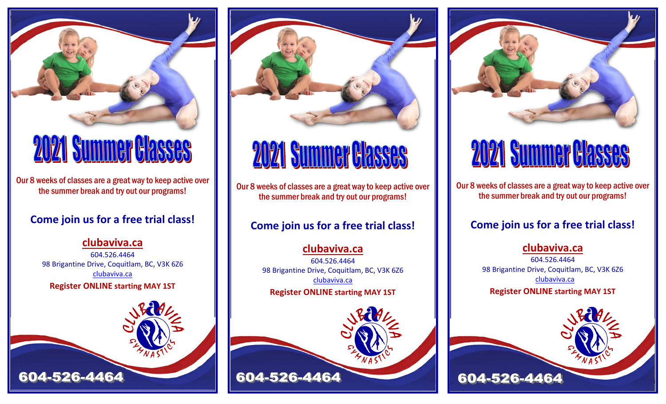

# **2021 Summer Classes**

Our 8 weeks of classes are a great way to keep active over the summer break and try out our programs!

## **Come join us for a free trial class!**

### **[clubaviva.ca](http://www.clubaviva.ca/)**

604.526.4464 98 Brigantine Drive, Coquitlam, BC, V3K 6Z6 [clubaviva.ca](mailto:info@clubaviva.ca) **Register ONLINE starting MAY 1ST**





# **2021 Summer Classes**

Our 8 weeks of classes are a great way to keep active over the summer break and try out our programs!

# **Come join us for a free trial class!**

**[clubaviva.ca](http://www.clubaviva.ca/)** 604.526.4464 98 Brigantine Drive, Coquitlam, BC, V3K 6Z6 [clubaviva.ca](mailto:info@clubaviva.ca) **Register ONLINE starting MAY 1ST**





# **2021 Summer Classes**

Our 8 weeks of classes are a great way to keep active over the summer break and try out our programs!

## **Come join us for a free trial class!**

### **[clubaviva.ca](http://www.clubaviva.ca/)**

604.526.4464 98 Brigantine Drive, Coquitlam, BC, V3K 6Z6 [clubaviva.ca](mailto:info@clubaviva.ca) **Register ONLINE starting MAY 1ST**